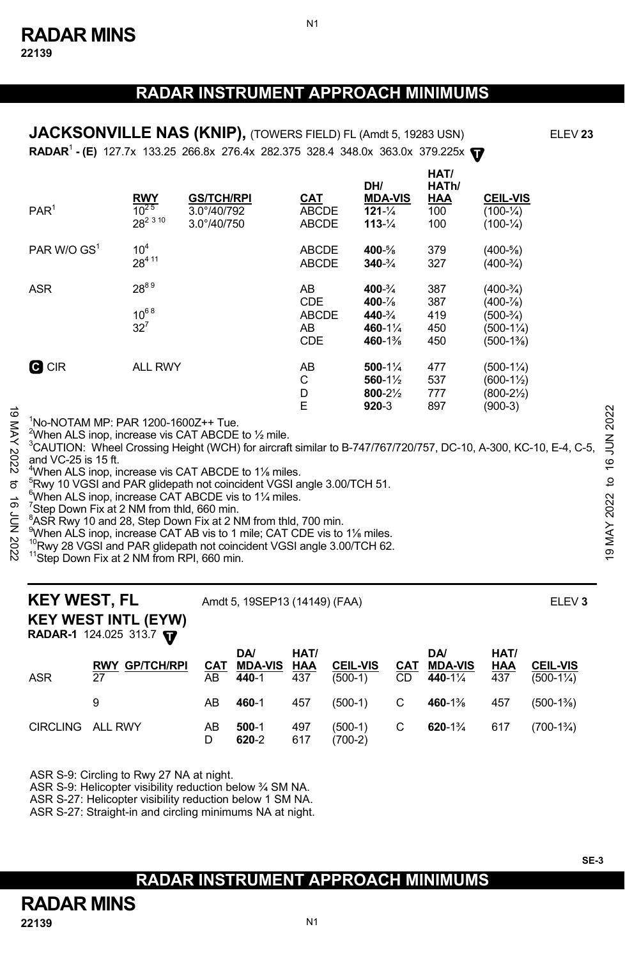N1

**RADAR<sup>1</sup> - (E)** 127.7x 133.25 266.8x 276.4x 282.375 328.4 348.0x 363.0x 379.225x  $\mathbf{\nabla}$ **JACKSONVILLE NAS (KNIP),** (TOWERS FIELD) FL (Amdt 5, 19283 USN) ELEV 23

| PAR <sup>1</sup> | $\frac{RWY}{10^{25}}$<br>28 <sup>2 3 10</sup> | <b>GS/TCH/RPI</b><br>$3.0^{\circ}/40/792$<br>3.0°/40/750 | <u>CAT</u><br><b>ABCDE</b><br><b>ABCDE</b>           | DH/<br><b>MDA-VIS</b><br>$121 - \frac{1}{4}$<br>$113 - \frac{1}{4}$                   | HAT/<br>HATh/<br>HAA<br>100<br>100 | <b>CEIL-VIS</b><br>$(100 - \frac{1}{4})$<br>$(100 - \frac{1}{4})$                 |
|------------------|-----------------------------------------------|----------------------------------------------------------|------------------------------------------------------|---------------------------------------------------------------------------------------|------------------------------------|-----------------------------------------------------------------------------------|
| PAR W/O $GS1$    | 10 <sup>4</sup><br>28411                      |                                                          | <b>ABCDE</b><br><b>ABCDE</b>                         | 400-%<br>$340 - \frac{3}{4}$                                                          | 379<br>327                         | $(400-5/8)$<br>$(400-3/4)$                                                        |
| <b>ASR</b>       | 2889<br>$10^{68}$<br>$32^7$                   |                                                          | AB<br><b>CDE</b><br><b>ABCDE</b><br>AB<br><b>CDE</b> | $400 - \frac{3}{4}$<br>$400 - \frac{7}{8}$<br>$440 - \frac{3}{4}$<br>460-1%<br>460-1% | 387<br>387<br>419<br>450<br>450    | $(400-3/4)$<br>$(400 - \frac{7}{8})$<br>$(500-3/4)$<br>$(500-1\%)$<br>$(500-1\%)$ |
| <b>C</b> CIR     | <b>ALL RWY</b>                                |                                                          | AB<br>С<br>D<br>E                                    | $500 - 1\frac{1}{4}$<br>560-1½<br>800-21/2<br>$920 - 3$                               | 477<br>537<br>777<br>897           | $(500-1\%)$<br>$(600-1\frac{1}{2})$<br>(800-2½)<br>(900-3)                        |

1 No-NOTAM MP: PAR 1200-1600Z++ Tue.

 $^{2}$ When ALS inop, increase vis CAT ABCDE to  $\frac{1}{2}$  mile.

3 CAUTION: Wheel Crossing Height (WCH) for aircraft similar to B-747/767/720/757, DC-10, A-300, KC-10, E-4, C-5, and VC-25 is 15 ft.  $\frac{1}{2}$   $\frac{1}{2}$  Mo-NOTAM MP: PAR 1200-1600Z++ Tue.<br>  $\frac{1}{2}$   $\frac{1}{2}$  Mhen ALS inop, increase vis CAT ABCDE to 1⁄2 mile.<br>  $\frac{1}{2}$   $\frac{1}{2}$   $\frac{1}{2}$   $\frac{1}{2}$   $\frac{1}{2}$   $\frac{1}{2}$   $\frac{1}{2}$   $\frac{1}{2}$   $\frac{1}{2}$ 

 $^{4}$ When ALS inop, increase vis CAT ABCDE to 1<sup>1/</sup><sub>8</sub> miles.<br><sup>5</sup> Put 10 VCSL and RAB glidens that coincident VCSL at

<sup>5</sup>Rwy 10 VGSI and PAR glidepath not coincident VGSI angle 3.00/TCH 51.

 $6$ When ALS inop, increase CAT ABCDE vis to 1 $\frac{1}{4}$  miles.

<sup>7</sup>Step Down Fix at 2 NM from thld, 660 min.

 $8$ ASR Rwy 10 and 28, Step Down Fix at 2 NM from thld, 700 min.

When ALS inop, increase CAT AB vis to 1 mile; CAT CDE vis to 1% miles.

<sup>10</sup>Rwy 28 VGSI and PAR glidepath not coincident VGSI angle 3.00/TCH 62.<br><sup>11</sup>Step Down Fix at 2 NM from RPI, 660 min.

**KEY WEST, FL** Amdt 5, 19SEP13 (14149) (FAA) **ELEV 3** 

**KEY WEST INTL (EYW)** 

**RADAR-1** 124.025 313.7 **T** 

| ASR              | <b>RWY GP/TCH/RPI</b><br>27 | AB      | <b>DA</b><br>CAT MDA-VIS HAA<br>440-1 | HAT/<br>437 | <b>CEIL-VIS</b><br>$(500-1)$ | <b>DA</b><br><b>CAT MDA-VIS</b><br>CD 440-11/4    | HAT/<br>HAA<br>437 | <b>CEIL-VIS</b><br>$(500-1\frac{1}{4})$ |
|------------------|-----------------------------|---------|---------------------------------------|-------------|------------------------------|---------------------------------------------------|--------------------|-----------------------------------------|
|                  |                             | AB      | 460-1                                 | 457         |                              | $(500-1)$ C 460-1 <sup>3</sup> / <sub>8</sub> 457 |                    | (500-1%)                                |
| CIRCLING ALL RWY |                             | AB<br>D | $500-1$<br>620-2                      | 497<br>617  | $(500-1)$ C<br>$(700-2)$     | 620-1 <sup>3</sup> / <sub>4</sub> 617             |                    | $(700-1\%)$                             |

ASR S-9: Circling to Rwy 27 NA at night.

ASR S-9: Helicopter visibility reduction below ¾ SM NA.

ASR S-27: Helicopter visibility reduction below 1 SM NA.

ASR S-27: Straight-in and circling minimums NA at night.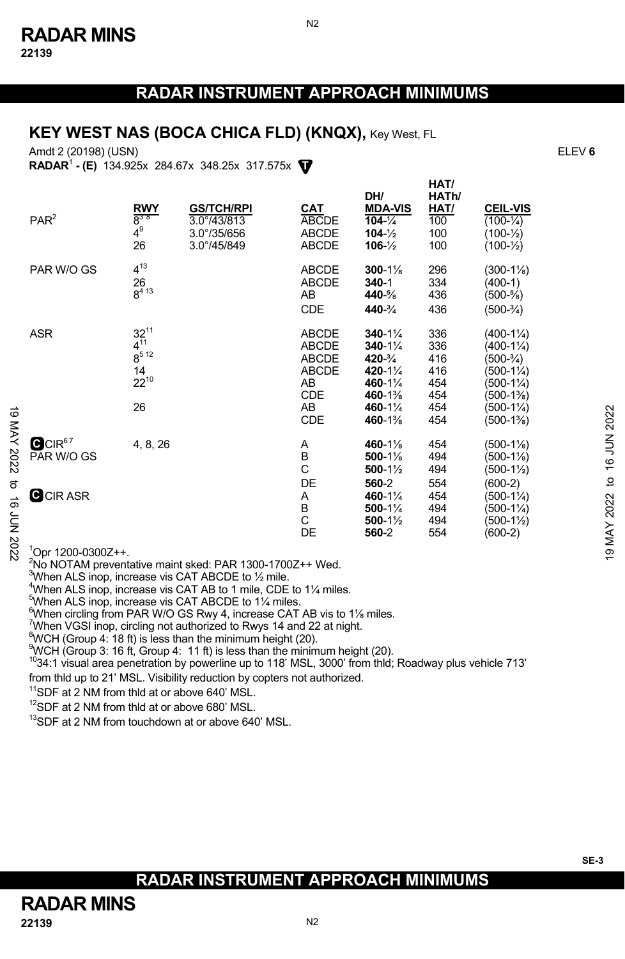## **KEY WEST NAS (BOCA CHICA FLD) (KNQX), Key West, FL**

Amdt 2 (20198) (USN) ELEV **6**

**T RADAR**<sup>1</sup>  **- (E)** 134.925x 284.67x 348.25x 317.575x

|                           | PAR <sup>2</sup>                 | <b>RWY</b><br>$8^{38}$<br>$4^9$<br>26                       | <b>GS/TCH/RPI</b><br>3.0°/43/813<br>3.0°/35/656<br>3.0°/45/849 | <b>CAT</b><br>ABCDE<br><b>ABCDE</b><br>ABCDE               | DH/<br><b>MDA-VIS</b><br>$104 - \frac{1}{4}$<br>$104 - \frac{1}{2}$<br>$106 - \frac{1}{2}$           | ,,,,,,<br>HATh/<br>HAT/<br>100<br>100<br>100         | <b>CEIL-VIS</b><br>$(100 - \frac{1}{4})$<br>$(100-1/2)$<br>$(100 - \frac{1}{2})$                                                                                  |                                 |
|---------------------------|----------------------------------|-------------------------------------------------------------|----------------------------------------------------------------|------------------------------------------------------------|------------------------------------------------------------------------------------------------------|------------------------------------------------------|-------------------------------------------------------------------------------------------------------------------------------------------------------------------|---------------------------------|
|                           | PAR W/O GS                       | $4^{13}$<br>26<br>$8^{413}$                                 |                                                                | <b>ABCDE</b><br><b>ABCDE</b><br>AB<br><b>CDE</b>           | $300 - 1\%$<br>340-1<br>440-%<br>440-3/4                                                             | 296<br>334<br>436<br>436                             | $(300-1\%)$<br>$(400-1)$<br>$(500-5/8)$<br>$(500-3/4)$                                                                                                            |                                 |
| $\vec{0}$                 | <b>ASR</b>                       | $32^{11}$<br>$4^{11}$<br>$8^{512}$<br>14<br>$22^{10}$<br>26 |                                                                | ABCDE<br>ABCDE<br>ABCDE<br>ABCDE<br>AB<br>CDE<br>AB<br>CDE | $340 - 1\frac{1}{4}$<br>$340 - 1\%$<br>420-3/4<br>420-11/4<br>460-11/4<br>460-1%<br>460-1%<br>460-1% | 336<br>336<br>416<br>416<br>454<br>454<br>454<br>454 | $(400-1\frac{1}{4})$<br>$(400-1\frac{1}{4})$<br>$(500-3/4)$<br>$(500-1\frac{1}{4})$<br>$(500-1\frac{1}{4})$<br>$(500-1\%)$<br>$(500-1\frac{1}{4})$<br>$(500-1\%)$ | 2022                            |
| $\frac{1}{2}$<br>202<br>ಠ | QCIR <sup>67</sup><br>PAR W/O GS | 4, 8, 26                                                    |                                                                | Α<br>$\sf B$<br>C<br>DE                                    | 460-1%<br>$500-1\%$<br>$500-1\frac{1}{2}$<br>560-2                                                   | 454<br>494<br>494<br>554                             | $(500-1\%)$<br>(500-11%)<br>$(500-1\frac{1}{2})$<br>$(600-2)$                                                                                                     | <b>NUN 91</b><br>$\overline{c}$ |
| ಕ<br>202 NOF              | <b>C</b> CIR ASR                 |                                                             |                                                                | Α<br>В<br>C<br>DE                                          | 460-11/4<br>$500 - 1\%$<br>$500-1\frac{1}{2}$<br>560-2                                               | 454<br>494<br>494<br>554                             | $(500-1\frac{1}{4})$<br>$(500-1\frac{1}{4})$<br>$(500-1\frac{1}{2})$<br>$(600-2)$                                                                                 | 2022<br><b>T9 MAY</b>           |
|                           | $1$ Opr 1200-0300Z++.            |                                                             |                                                                |                                                            |                                                                                                      |                                                      |                                                                                                                                                                   |                                 |

<sup>2</sup>No NOTAM preventative maint sked: PAR 1300-1700Z++ Wed.

 $3$ When ALS inop, increase vis CAT ABCDE to  $\frac{1}{2}$  mile.

 $^{4}$ When ALS inop, increase vis CAT AB to 1 mile, CDE to 1 $\frac{1}{4}$  miles.

When ALS inop, increase vis CAT ABCDE to 1¼ miles.

 $^{6}$ When circling from PAR W/O GS Rwy 4, increase CAT AB vis to 1<sup>1</sup>/<sub>8</sub> miles.

<sup>7</sup>When VGSI inop, circling not authorized to Rwys 14 and 22 at night.

 ${}^{8}$ WCH (Group 4: 18 ft) is less than the minimum height (20).

 $\frac{9}{3}$ WCH (Group 3: 16 ft, Group 4: 11 ft) is less than the minimum height (20).

 $1034:1$  visual area penetration by powerline up to 118' MSL, 3000' from thld; Roadway plus vehicle 713'

from thld up to 21' MSL. Visibility reduction by copters not authorized.<br><sup>11</sup>SDF at 2 NM from thld at or above 640' MSL.

<sup>12</sup>SDF at 2 NM from thld at or above 680' MSL.

<sup>13</sup>SDF at 2 NM from touchdown at or above 640' MSL.

**HAT/**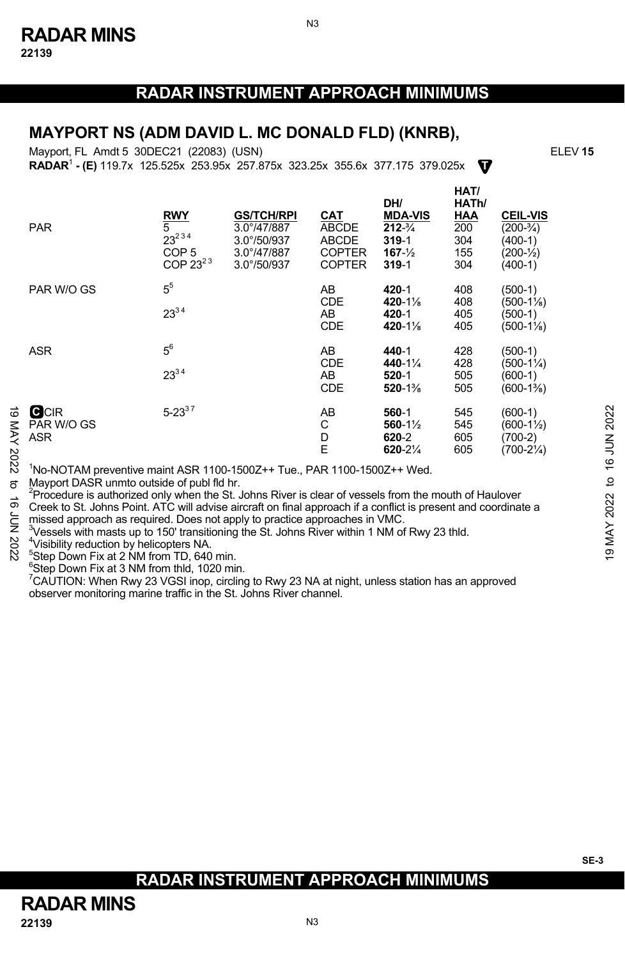N3

# **MAYPORT NS (ADM DAVID L. MC DONALD FLD) (KNRB),**

**T RADAR**<sup>1</sup>  **- (E)** 119.7x 125.525x 253.95x 257.875x 323.25x 355.6x 377.175 379.025x Mayport, FL Amdt 5 30DEC21 (22083) (USN)

**HAT/**

|                    | <b>PAR</b>                                                                                                                                                                                                                                                                                                                                                                                                                                                                                                                                                                                                                                                | <b>RWY</b><br>5<br>$23^{234}$<br>COP <sub>5</sub><br>COP $23^{23}$ | <b>GS/TCH/RPI</b><br>$3.0^{\circ}/47/887$<br>$3.0^{\circ}/50/937$<br>$3.0^{\circ}/47/887$<br>$3.0^{\circ}/50/937$ | CAT<br><b>ABCDE</b><br><b>ABCDE</b><br><b>COPTER</b><br><b>COPTER</b> | DH/<br><b>MDA-VIS</b><br>$212 - \frac{3}{4}$<br>$319 - 1$<br>$167 - \frac{1}{2}$<br>$319 - 1$ | <b>NAII</b><br>HATh/<br><u>HAA</u><br>200<br>304<br>155<br>304 | <b>CEIL-VIS</b><br>$(200-3/4)$<br>$(400-1)$<br>$(200 - \frac{1}{2})$<br>$(400-1)$ |                        |  |  |  |
|--------------------|-----------------------------------------------------------------------------------------------------------------------------------------------------------------------------------------------------------------------------------------------------------------------------------------------------------------------------------------------------------------------------------------------------------------------------------------------------------------------------------------------------------------------------------------------------------------------------------------------------------------------------------------------------------|--------------------------------------------------------------------|-------------------------------------------------------------------------------------------------------------------|-----------------------------------------------------------------------|-----------------------------------------------------------------------------------------------|----------------------------------------------------------------|-----------------------------------------------------------------------------------|------------------------|--|--|--|
|                    | PAR W/O GS                                                                                                                                                                                                                                                                                                                                                                                                                                                                                                                                                                                                                                                | 5 <sup>5</sup><br>$23^{34}$                                        |                                                                                                                   | AB<br><b>CDE</b><br>AB<br><b>CDE</b>                                  | 420-1<br>420-1%<br>420-1<br>420-1%                                                            | 408<br>408<br>405<br>405                                       | $(500-1)$<br>(500-11%)<br>(500-1)<br>$(500-1\%)$                                  |                        |  |  |  |
|                    | <b>ASR</b>                                                                                                                                                                                                                                                                                                                                                                                                                                                                                                                                                                                                                                                | $5^6$<br>$23^{34}$                                                 |                                                                                                                   | AB<br><b>CDE</b><br>AB<br><b>CDE</b>                                  | 440-1<br>440-1 $\frac{1}{4}$<br>$520 - 1$<br>520-1%                                           | 428<br>428<br>505<br>505                                       | $(500-1)$<br>$(500-1\frac{1}{4})$<br>(600-1)<br>$(600-1\%)$                       |                        |  |  |  |
| ಹ<br>MAY 2022      | <b>C</b> CIR<br>PAR W/O GS<br>ASR                                                                                                                                                                                                                                                                                                                                                                                                                                                                                                                                                                                                                         | $5 - 23^{37}$                                                      |                                                                                                                   | AB<br>С<br>D<br>E                                                     | 560-1<br>$560 - 1\frac{1}{2}$<br>620-2<br>$620 - 2\frac{1}{4}$                                | 545<br>545<br>605<br>605                                       | $(600-1)$<br>$(600-1\frac{1}{2})$<br>$(700-2)$<br>$(700-2\frac{1}{4})$            | 2022<br><b>ALIF 91</b> |  |  |  |
| ನ<br>ಕ<br>70N 2022 | 'No-NOTAM preventive maint ASR 1100-1500Z++ Tue., PAR 1100-1500Z++ Wed.<br>Mayport DASR unmto outside of publ fld hr.<br>Procedure is authorized only when the St. Johns River is clear of vessels from the mouth of Haulover<br>Creek to St. Johns Point. ATC will advise aircraft on final approach if a conflict is present and coordinate a<br>missed approach as required. Does not apply to practice approaches in VMC.<br><sup>3</sup> Vessels with masts up to 150' transitioning the St. Johns River within 1 NM of Rwy 23 thld.<br><sup>4</sup> Visibility reduction by helicopters NA.<br><sup>5</sup> Step Down Fix at 2 NM from TD, 640 min. |                                                                    |                                                                                                                   |                                                                       |                                                                                               |                                                                |                                                                                   |                        |  |  |  |

 $5$ Step Down Fix at 2 NM from TD, 640 min.

 $6$ Step Down Fix at 3 NM from thld, 1020 min.

 $\mathrm{7}$ CAUTION: When Rwy 23 VGSI inop, circling to Rwy 23 NA at night, unless station has an approved observer monitoring marine traffic in the St. Johns River channel.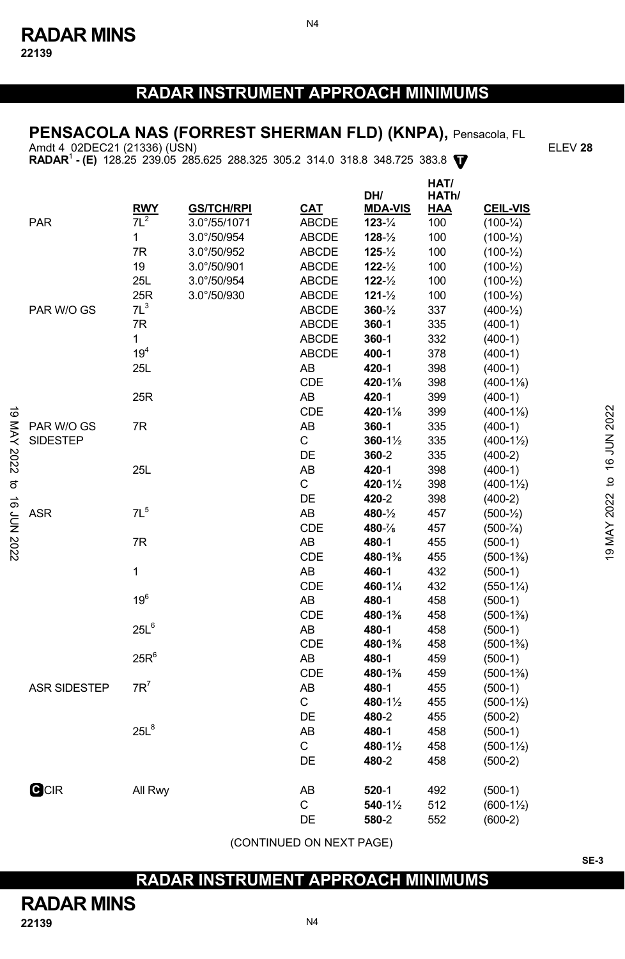N4

# **PENSACOLA NAS (FORREST SHERMAN FLD) (KNPA),** Pensacola, FL

Amdt 4 02DEC21 (21336) (USN) ELEV **28** 

**RADAR**<sup>1</sup>  **- (E)** 128.25 239.05 285.625 288.325 305.2 314.0 318.8 348.725 383.8 **T**

|                         |                     | <b>RWY</b>        | <b>GS/TCH/RPI</b> | CAT          | DH/<br><b>MDA-VIS</b> | HAT/<br>HATh/<br><b>HAA</b> | <b>CEIL-VIS</b>       |                            |
|-------------------------|---------------------|-------------------|-------------------|--------------|-----------------------|-----------------------------|-----------------------|----------------------------|
|                         | <b>PAR</b>          | $7L^2$            | 3.0°/55/1071      | <b>ABCDE</b> | $123 - \frac{1}{4}$   | 100                         | $(100 - \frac{1}{4})$ |                            |
|                         |                     | $\mathbf{1}$      | 3.0°/50/954       | <b>ABCDE</b> | $128 - \frac{1}{2}$   | 100                         | $(100-1/2)$           |                            |
|                         |                     | 7R                | 3.0°/50/952       | ABCDE        | $125 - \frac{1}{2}$   | 100                         | $(100 - \frac{1}{2})$ |                            |
|                         |                     | 19                | 3.0°/50/901       | ABCDE        | $122 - \frac{1}{2}$   | 100                         | $(100 - \frac{1}{2})$ |                            |
|                         |                     | 25L               | 3.0°/50/954       | <b>ABCDE</b> | $122 - \frac{1}{2}$   | 100                         | $(100 - \frac{1}{2})$ |                            |
|                         |                     | 25R               | 3.0°/50/930       | <b>ABCDE</b> | $121 - \frac{1}{2}$   | 100                         | $(100 - \frac{1}{2})$ |                            |
|                         | PAR W/O GS          | $7L^3$            |                   | <b>ABCDE</b> | $360 - \frac{1}{2}$   | 337                         | $(400-1/2)$           |                            |
|                         |                     | 7R                |                   | <b>ABCDE</b> | $360 - 1$             | 335                         | $(400-1)$             |                            |
|                         |                     | 1                 |                   | <b>ABCDE</b> | $360 - 1$             | 332                         | $(400-1)$             |                            |
|                         |                     | 19 <sup>4</sup>   |                   | <b>ABCDE</b> | 400-1                 | 378                         | $(400-1)$             |                            |
|                         |                     | 25L               |                   | AB           | 420-1                 | 398                         | $(400-1)$             |                            |
|                         |                     |                   |                   | CDE          | 420-1%                | 398                         | $(400-1\%)$           |                            |
|                         |                     | 25R               |                   | AB           | 420-1                 | 399                         | $(400-1)$             |                            |
| ಠ                       |                     |                   |                   | CDE          | 420-1%                | 399                         | $(400-1\%)$           |                            |
|                         | PAR W/O GS          | 7R                |                   | AB           | $360 - 1$             | 335                         | $(400-1)$             |                            |
|                         | <b>SIDESTEP</b>     |                   |                   | C            | $360 - 1\frac{1}{2}$  | 335                         | $(400-1\frac{1}{2})$  |                            |
|                         |                     |                   |                   | DE           | 360-2                 | 335                         | $(400-2)$             |                            |
|                         |                     | 25L               |                   | AB           | 420-1                 | 398                         | $(400-1)$             |                            |
|                         |                     |                   |                   | C            | 420-11/2              | 398                         | $(400-1\frac{1}{2})$  |                            |
|                         |                     |                   |                   | DE           | 420-2                 | 398                         | $(400-2)$             |                            |
|                         | <b>ASR</b>          | $7L^5$            |                   | AB           | 480-1/2               | 457                         | $(500 - \frac{1}{2})$ |                            |
|                         |                     |                   |                   | CDE          | 480-%                 | 457                         | $(500 - %)$           |                            |
| 2202 NOL 91 01 2202 YAM |                     | 7R                |                   | AB           | 480-1                 | 455                         | $(500-1)$             | 19 MAY 2022 to 16 JUN 2022 |
|                         |                     |                   |                   | CDE          | 480-1%                | 455                         | $(500-1\%)$           |                            |
|                         |                     | 1                 |                   | AB           | 460-1                 | 432                         | $(500-1)$             |                            |
|                         |                     |                   |                   | CDE          | 460-11/4              | 432                         | $(550-1\%)$           |                            |
|                         |                     | 19 <sup>6</sup>   |                   | AB           | 480-1                 | 458                         | $(500-1)$             |                            |
|                         |                     |                   |                   | CDE          | 480-1%                | 458                         | $(500-1\%)$           |                            |
|                         |                     | $25L^6$           |                   | AB           | 480-1                 | 458                         | $(500-1)$             |                            |
|                         |                     |                   |                   | CDE          | 480-1%                | 458                         | $(500-1\%)$           |                            |
|                         |                     | $25R^6$           |                   | AB           | 480-1                 | 459                         | $(500-1)$             |                            |
|                         |                     |                   |                   | CDE          | 480-1%                | 459                         | $(500-1\%)$           |                            |
|                         | <b>ASR SIDESTEP</b> | $7R^7$            |                   | AB           | 480-1                 | 455                         | $(500-1)$             |                            |
|                         |                     |                   |                   | C            | 480-11/2              | 455                         | $(500-1\frac{1}{2})$  |                            |
|                         |                     |                   |                   | DE           | 480-2                 | 455                         | $(500-2)$             |                            |
|                         |                     | $25 \mathsf{L}^8$ |                   | AB<br>C      | 480-1                 | 458                         | $(500-1)$             |                            |
|                         |                     |                   |                   |              | 480-1½                | 458                         | $(500-1\frac{1}{2})$  |                            |
|                         |                     |                   |                   | DE           | 480-2                 | 458                         | $(500-2)$             |                            |
|                         | <b>GCIR</b>         | All Rwy           |                   | AB           | 520-1                 | 492                         | $(500-1)$             |                            |
|                         |                     |                   |                   | C            | $540 - 1\frac{1}{2}$  | 512                         | $(600-1\frac{1}{2})$  |                            |
|                         |                     |                   |                   | DE           | 580-2                 | 552                         | $(600-2)$             |                            |
|                         |                     |                   |                   |              |                       |                             |                       |                            |

## **22139** N4 **RADAR MINS**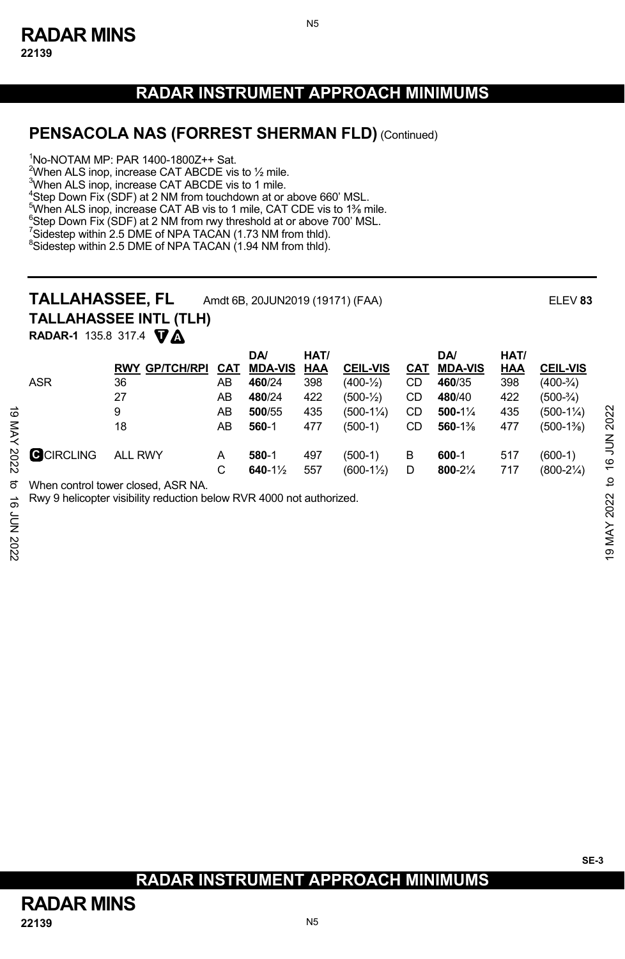N5

## **PENSACOLA NAS (FORREST SHERMAN FLD)** (Continued)

1 No-NOTAM MP: PAR 1400-1800Z++ Sat.

When ALS inop, increase CAT ABCDE vis to  $\frac{1}{2}$  mile. When ALS inop, increase CAT ABCDE vis to 1 mile. Step Down Fix (SDF) at 2 NM from touchdown at or above 660' MSL. <sup>5</sup>When ALS inop, increase CAT AB vis to 1 mile, CAT CDE vis to 1<sup>36</sup> mile.<br><sup>6</sup>Step Doug Fix (SDE) at 2 NM from nay threshold at a shows 700' MSL Step Down Fix (SDF) at 2 NM from rwy threshold at or above 700' MSL.

 $^7$ Sidestep within 2.5 DME of NPA TACAN (1.73 NM from thld).<br><sup>8</sup>Sidestep within 2.5 DME of NPA TACAN (1.04 NM from thld). <sup>8</sup>Sidestep within 2.5 DME of NPA TACAN (1.94 NM from thld).

# **TALLAHASSEE, FL** Amdt 6B, 20JUN2019 (19171) (FAA) ELEV **<sup>83</sup>**

**TALLAHASSEE INTL (TLH)**

**T A RADAR-1** 135.8 317.4

|                           |                   | . .                                                                                                        |     |                     |      |                       |            |                |      |                      |                               |
|---------------------------|-------------------|------------------------------------------------------------------------------------------------------------|-----|---------------------|------|-----------------------|------------|----------------|------|----------------------|-------------------------------|
|                           |                   |                                                                                                            |     | DA/                 | HAT/ |                       |            | <b>DA</b>      | HAT/ |                      |                               |
|                           |                   | <b>GP/TCH/RPI</b><br><b>RWY</b>                                                                            | CAT | <b>MDA-VIS</b>      | HAA  | <b>CEIL-VIS</b>       | <u>CAT</u> | <b>MDA-VIS</b> | HAA  | <b>CEIL-VIS</b>      |                               |
|                           | <b>ASR</b>        | 36                                                                                                         | AB  | 460/24              | 398  | $(400-1/2)$           | CD         | 460/35         | 398  | $(400-3/4)$          |                               |
|                           |                   | 27                                                                                                         | AB  | 480/24              | 422  | $(500 - \frac{1}{2})$ | CD         | 480/40         | 422  | $(500-3/4)$          |                               |
| ಹ                         |                   | 9                                                                                                          | AB  | 500/55              | 435  | $(500-1\%)$           | CD         | $500-1\%$      | 435  | $(500-1\frac{1}{4})$ | 2022                          |
| XAN                       |                   | 18                                                                                                         | AB  | 560-1               | 477  | $(500-1)$             | CD         | 560-1%         | 477  | $(500-1\%)$          |                               |
| 2022                      | <b>G</b> CIRCLING | <b>ALL RWY</b>                                                                                             | A   | 580-1               | 497  | $(500-1)$             | В          | 600-1          | 517  | $(600-1)$            | <b>NTT 91</b>                 |
|                           |                   |                                                                                                            | C   | 640-1 $\frac{1}{2}$ | 557  | $(600-1\frac{1}{2})$  | D          | 800-21/4       | 717  | $(800-2\frac{1}{4})$ |                               |
| ಕ<br>ಹೆ<br>ξ<br>Σ<br>2022 |                   | When control tower closed. ASR NA.<br>Rwy 9 helicopter visibility reduction below RVR 4000 not authorized. |     |                     |      |                       |            |                |      |                      | ٩,<br>2022<br><b>MAY</b><br>6 |

**SE-3**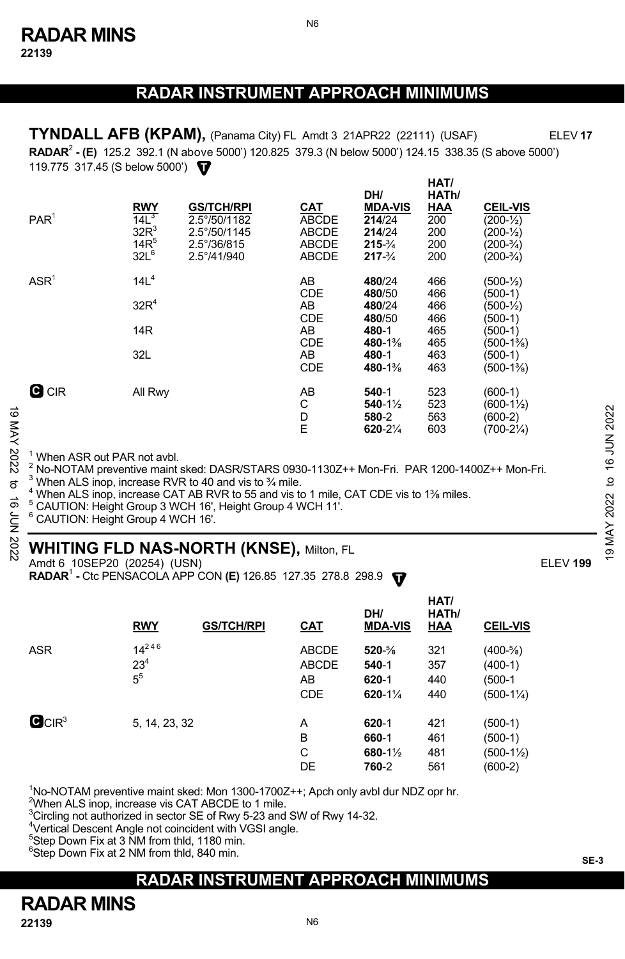**22139** 

## **RADAR INSTRUMENT APPROACH MINIMUMS**

N6

**HAT/ RADAR**<sup>2</sup>  **- (E)** 125.2 392.1 (N above 5000') 120.825 379.3 (N below 5000') 124.15 338.35 (S above 5000') **T** 119.775 317.45 (S below 5000') **TYNDALL AFB (KPAM),** (Panama City) FL Amdt 3 21APR22 (22111) (USAF) ELEV **17**

|             | PAR <sup>1</sup>                                                                                                                                                                                                                                                                                                                                                                                                                                                            | <b>RWY</b><br>14L <sup>3</sup><br>$32R^3$<br>$14R^5$<br>$32L^6$ | <b>GS/TCH/RPI</b><br>2.5°/50/1182<br>2.5°/50/1145<br>$2.5^{\circ}/36/815$<br>2.5°/41/940 | CAT<br><b>ABCDE</b><br><b>ABCDE</b><br>ABCDE<br><b>ABCDE</b>                 | DH/<br><b>MDA-VIS</b><br>214/24<br>214/24<br>$215 - \frac{3}{4}$<br>$217 - \frac{3}{4}$               | HAI/<br>HATh/<br>HAA<br>200<br>200<br>200<br>200     | <b>CEIL-VIS</b><br>$(200 - \frac{1}{2})$<br>$(200 - \frac{1}{2})$<br>$(200-3/4)$<br>$(200-3/4)$                             |                       |  |  |
|-------------|-----------------------------------------------------------------------------------------------------------------------------------------------------------------------------------------------------------------------------------------------------------------------------------------------------------------------------------------------------------------------------------------------------------------------------------------------------------------------------|-----------------------------------------------------------------|------------------------------------------------------------------------------------------|------------------------------------------------------------------------------|-------------------------------------------------------------------------------------------------------|------------------------------------------------------|-----------------------------------------------------------------------------------------------------------------------------|-----------------------|--|--|
|             | ASR <sup>1</sup>                                                                                                                                                                                                                                                                                                                                                                                                                                                            | 14L <sup>4</sup><br>32R <sup>4</sup><br>14 <sub>R</sub><br>32L  |                                                                                          | AB<br><b>CDE</b><br>AB<br><b>CDE</b><br>AB<br><b>CDE</b><br>AB<br><b>CDE</b> | 480/24<br>480/50<br>480/24<br>480/50<br>480-1<br>480-1 <sup>3</sup> / <sub>8</sub><br>480-1<br>480-1% | 466<br>466<br>466<br>466<br>465<br>465<br>463<br>463 | $(500 - \frac{1}{2})$<br>(500-1)<br>$(500 - \frac{1}{2})$<br>$(500-1)$<br>$(500-1)$<br>(500-1%)<br>$(500-1)$<br>$(500-1\%)$ |                       |  |  |
| 19 MAY 2022 | <b>G</b> CIR                                                                                                                                                                                                                                                                                                                                                                                                                                                                | All Rwy                                                         |                                                                                          | AB<br>C<br>D<br>E                                                            | $540-1$<br>$540 - 1\frac{1}{2}$<br>580-2<br>$620 - 2\frac{1}{4}$                                      | 523<br>523<br>563<br>603                             | $(600-1)$<br>$(600-1\frac{1}{2})$<br>$(600-2)$<br>$(700-2\frac{1}{4})$                                                      | 16 JUN 2022           |  |  |
| 2<br>ಕ<br>È | <sup>1</sup> When ASR out PAR not avbl.<br>$^2$ No-NOTAM preventive maint sked: DASR/STARS 0930-1130Z++ Mon-Fri. PAR 1200-1400Z++ Mon-Fri.<br>$3$ When ALS inop, increase RVR to 40 and vis to $\frac{3}{4}$ mile.<br>$\overline{c}$<br><sup>4</sup> When ALS inop, increase CAT AB RVR to 55 and vis to 1 mile, CAT CDE vis to 1% miles.<br>2022<br><sup>5</sup> CAUTION: Height Group 3 WCH 16', Height Group 4 WCH 11'.<br><sup>6</sup> CAUTION: Height Group 4 WCH 16'. |                                                                 |                                                                                          |                                                                              |                                                                                                       |                                                      |                                                                                                                             |                       |  |  |
| 202         |                                                                                                                                                                                                                                                                                                                                                                                                                                                                             |                                                                 | <b>WHITING FLD NAS-NORTH (KNSE), Milton, FL</b>                                          |                                                                              |                                                                                                       |                                                      |                                                                                                                             | MAY<br>$\overline{9}$ |  |  |

#### **WHITING FLD NAS-NORTH (KNSE),** Milton, FL

Amdt 6 10SEP20 (20254) (USN)ELEV **199**

**RADAR<sup>1</sup> - Ctc PENSACOLA APP CON (E)** 126.85 127.35 278.8 298.9  $\blacksquare$ 

|                               | <b>RWY</b>                      | <b>GS/TCH/RPI</b> | <u>CAT</u>                                       | DH/<br><b>MDA-VIS</b>                      | HAT/<br>HATh/<br><b>HAA</b> | <b>CEIL-VIS</b>                                            |
|-------------------------------|---------------------------------|-------------------|--------------------------------------------------|--------------------------------------------|-----------------------------|------------------------------------------------------------|
| <b>ASR</b>                    | $14^{246}$<br>$23^{4}$<br>$5^5$ |                   | <b>ABCDE</b><br><b>ABCDE</b><br>AB<br><b>CDE</b> | $520 - \%$<br>540-1<br>$620 - 1$<br>620-1% | 321<br>357<br>440<br>440    | $(400-5/8)$<br>$(400-1)$<br>(500-1<br>$(500-1\frac{1}{4})$ |
| $\mathbf{C}$ CIR <sup>3</sup> | 5, 14, 23, 32                   |                   | A<br>B<br>C<br>DE                                | $620 - 1$<br>660-1<br>680-1½<br>760-2      | 421<br>461<br>481<br>561    | (500-1)<br>(500-1)<br>$(500-1\frac{1}{2})$<br>$(600-2)$    |

<sup>1</sup>No-NOTAM preventive maint sked: Mon 1300-1700Z++; Apch only avbl dur NDZ opr hr.

<sup>2</sup>When ALS inop, increase vis CAT ABCDE to 1 mile.

 $\rm{^{3}C}$ ircling not authorized in sector SE of Rwy 5-23 and SW of Rwy 14-32.

 $\frac{4}{3}$ Vertical Descent Angle not coincident with VGSI angle.

<sup>5</sup>Step Down Fix at 3 NM from thld, 1180 min.

6 Step Down Fix at 2 NM from thld, 840 min.

## **RADAR INSTRUMENT APPROACH MINIMUMS**

# **RADAR MINS**